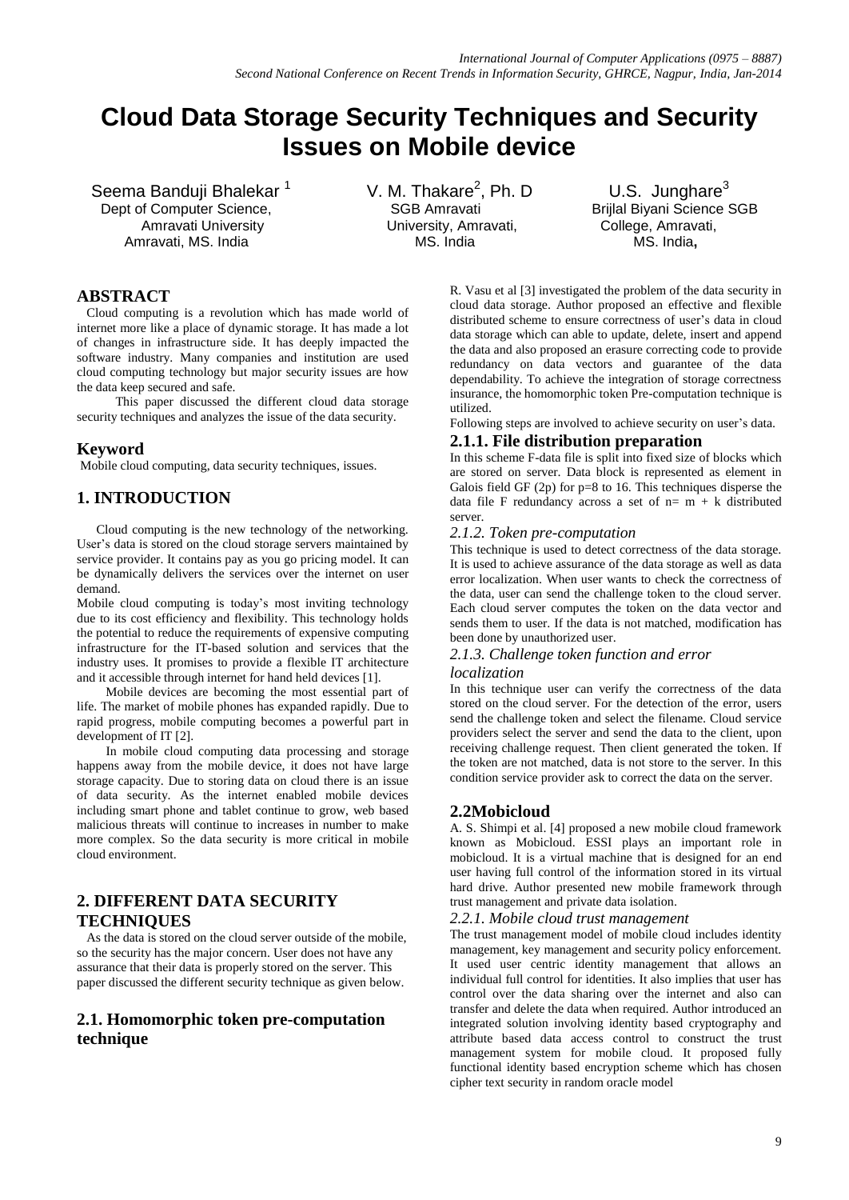# **Cloud Data Storage Security Techniques and Security Issues on Mobile device**

Seema Banduji Bhalekar<sup>1</sup> Dept of Computer Science, SGB Amravati Brijlal Biyani Science SGB<br>Amravati University **Brital Britan Britan Amravati**, Sanavati, Science SGB Amravati, Amravati, MS. India **MS. India MS. India MS. India**,

**ABSTRACT**

 Cloud computing is a revolution which has made world of internet more like a place of dynamic storage. It has made a lot of changes in infrastructure side. It has deeply impacted the software industry. Many companies and institution are used cloud computing technology but major security issues are how the data keep secured and safe.

 This paper discussed the different cloud data storage security techniques and analyzes the issue of the data security.

### **Keyword**

Mobile cloud computing, data security techniques, issues.

# **1. INTRODUCTION**

 Cloud computing is the new technology of the networking. User's data is stored on the cloud storage servers maintained by service provider. It contains pay as you go pricing model. It can be dynamically delivers the services over the internet on user demand.

Mobile cloud computing is today's most inviting technology due to its cost efficiency and flexibility. This technology holds the potential to reduce the requirements of expensive computing infrastructure for the IT-based solution and services that the industry uses. It promises to provide a flexible IT architecture and it accessible through internet for hand held devices [1].

 Mobile devices are becoming the most essential part of life. The market of mobile phones has expanded rapidly. Due to rapid progress, mobile computing becomes a powerful part in development of IT [2].

 In mobile cloud computing data processing and storage happens away from the mobile device, it does not have large storage capacity. Due to storing data on cloud there is an issue of data security. As the internet enabled mobile devices including smart phone and tablet continue to grow, web based malicious threats will continue to increases in number to make more complex. So the data security is more critical in mobile cloud environment.

# **2. DIFFERENT DATA SECURITY TECHNIQUES**

 As the data is stored on the cloud server outside of the mobile, so the security has the major concern. User does not have any assurance that their data is properly stored on the server. This paper discussed the different security technique as given below.

# **2.1. Homomorphic token pre-computation technique**

V. M. Thakare<sup>2</sup>, Ph. D. University, Amravati,<br>MS. India

U.S. Junghare $3$ 

R. Vasu et al [3] investigated the problem of the data security in cloud data storage. Author proposed an effective and flexible distributed scheme to ensure correctness of user's data in cloud data storage which can able to update, delete, insert and append the data and also proposed an erasure correcting code to provide redundancy on data vectors and guarantee of the data dependability. To achieve the integration of storage correctness insurance, the homomorphic token Pre-computation technique is utilized.

Following steps are involved to achieve security on user's data.

### **2.1.1. File distribution preparation**

In this scheme F-data file is split into fixed size of blocks which are stored on server. Data block is represented as element in Galois field GF (2p) for p=8 to 16. This techniques disperse the data file F redundancy across a set of  $n= m + k$  distributed server.

### *2.1.2. Token pre-computation*

This technique is used to detect correctness of the data storage. It is used to achieve assurance of the data storage as well as data error localization. When user wants to check the correctness of the data, user can send the challenge token to the cloud server. Each cloud server computes the token on the data vector and sends them to user. If the data is not matched, modification has been done by unauthorized user.

#### *2.1.3. Challenge token function and error localization*

In this technique user can verify the correctness of the data stored on the cloud server. For the detection of the error, users send the challenge token and select the filename. Cloud service providers select the server and send the data to the client, upon receiving challenge request. Then client generated the token. If the token are not matched, data is not store to the server. In this condition service provider ask to correct the data on the server.

# **2.2Mobicloud**

A. S. Shimpi et al. [4] proposed a new mobile cloud framework known as Mobicloud. ESSI plays an important role in mobicloud. It is a virtual machine that is designed for an end user having full control of the information stored in its virtual hard drive. Author presented new mobile framework through trust management and private data isolation.

#### *2.2.1. Mobile cloud trust management*

The trust management model of mobile cloud includes identity management, key management and security policy enforcement. It used user centric identity management that allows an individual full control for identities. It also implies that user has control over the data sharing over the internet and also can transfer and delete the data when required. Author introduced an integrated solution involving identity based cryptography and attribute based data access control to construct the trust management system for mobile cloud. It proposed fully functional identity based encryption scheme which has chosen cipher text security in random oracle model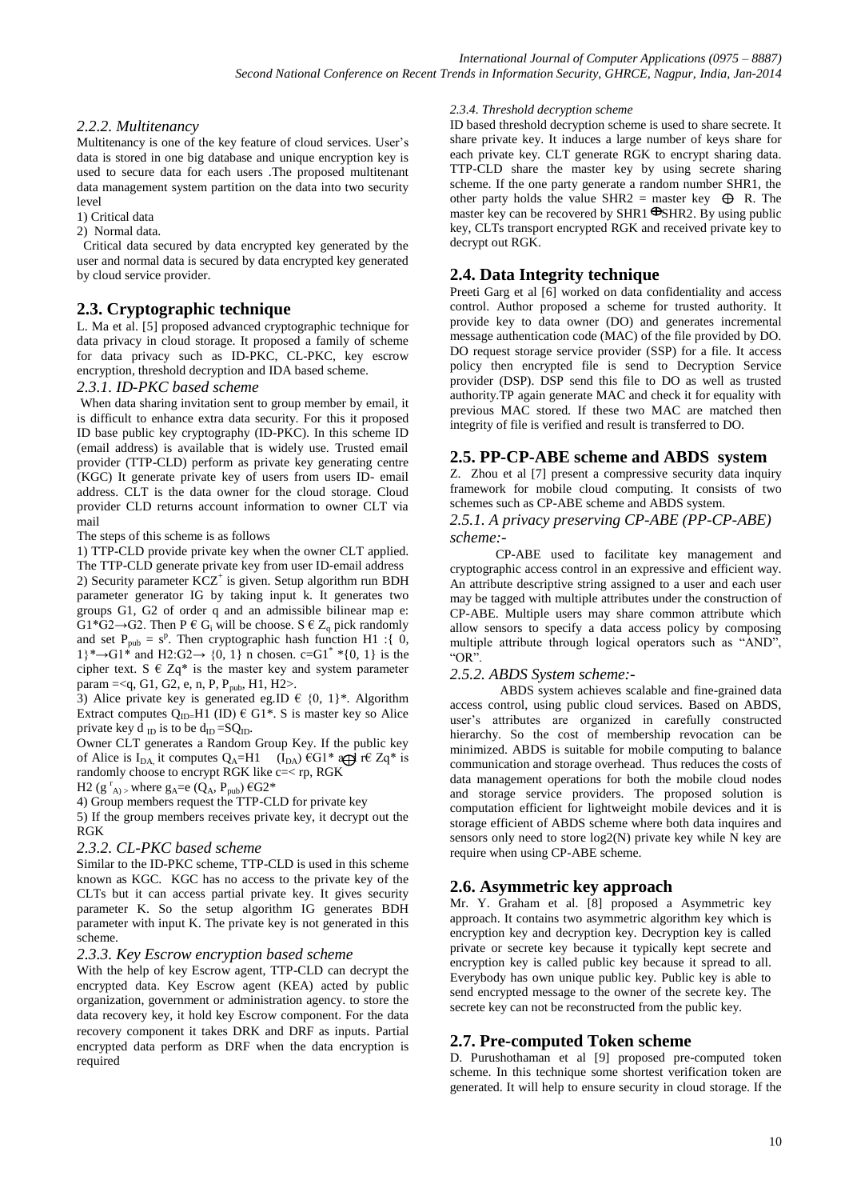### *2.2.2. Multitenancy*

Multitenancy is one of the key feature of cloud services. User's data is stored in one big database and unique encryption key is used to secure data for each users .The proposed multitenant data management system partition on the data into two security level

#### 1) Critical data

2) Normal data.

 Critical data secured by data encrypted key generated by the user and normal data is secured by data encrypted key generated by cloud service provider.

# **2.3. Cryptographic technique**

L. Ma et al. [5] proposed advanced cryptographic technique for data privacy in cloud storage. It proposed a family of scheme for data privacy such as ID-PKC, CL-PKC, key escrow encryption, threshold decryption and IDA based scheme.

### *2.3.1. ID-PKC based scheme*

When data sharing invitation sent to group member by email, it is difficult to enhance extra data security. For this it proposed ID base public key cryptography (ID-PKC). In this scheme ID (email address) is available that is widely use. Trusted email provider (TTP-CLD) perform as private key generating centre (KGC) It generate private key of users from users ID- email address. CLT is the data owner for the cloud storage. Cloud provider CLD returns account information to owner CLT via mail

The steps of this scheme is as follows

1) TTP-CLD provide private key when the owner CLT applied. The TTP-CLD generate private key from user ID-email address 2) Security parameter KCZ<sup>+</sup> is given. Setup algorithm run BDH parameter generator IG by taking input k. It generates two groups G1, G2 of order q and an admissible bilinear map e:  $G1*G2 \rightarrow G2$ . Then P  $\in G_i$  will be choose. S  $\in Z_q$  pick randomly and set  $P_{pub} = s^p$ . Then cryptographic hash function H1 :{ 0, 1}\*→G1\* and H2:G2→ {0, 1} n chosen. c=G1<sup>\*</sup> \*{0, 1} is the cipher text.  $S \in Zq^*$  is the master key and system parameter param = <q, G1, G2, e, n, P,  $P_{pub}$ , H1, H2>.

3) Alice private key is generated eg.ID  $\in \{0, 1\}^*$ . Algorithm Extract computes  $Q_{ID=}H1$  (ID)  $\in$  G1\*. S is master key so Alice private key d  $_{\text{ID}}$  is to be d<sub>ID</sub>=SQ<sub>ID</sub>.

Owner CLT generates a Random Group Key. If the public key of Alice is I<sub>DA</sub> it computes  $Q_A=H1$  (I<sub>DA</sub>)  $\epsilon G1^*$  and r $\epsilon Zq^*$  is randomly choose to encrypt RGK like c=< rp, RGK

H2 (g  $_{\text{A}}^{\text{r}}$ ) > where g<sub>A</sub>=e (Q<sub>A</sub>, P<sub>pub</sub>)  $\text{€G2*}$ 

4) Group members request the TTP-CLD for private key

5) If the group members receives private key, it decrypt out the RGK

### *2.3.2. CL-PKC based scheme*

Similar to the ID-PKC scheme, TTP-CLD is used in this scheme known as KGC. KGC has no access to the private key of the CLTs but it can access partial private key. It gives security parameter K. So the setup algorithm IG generates BDH parameter with input K. The private key is not generated in this scheme.

### *2.3.3. Key Escrow encryption based scheme*

With the help of key Escrow agent, TTP-CLD can decrypt the encrypted data. Key Escrow agent (KEA) acted by public organization, government or administration agency. to store the data recovery key, it hold key Escrow component. For the data recovery component it takes DRK and DRF as inputs. Partial encrypted data perform as DRF when the data encryption is required

#### *2.3.4. Threshold decryption scheme*

ID based threshold decryption scheme is used to share secrete. It share private key. It induces a large number of keys share for each private key. CLT generate RGK to encrypt sharing data. TTP-CLD share the master key by using secrete sharing scheme. If the one party generate a random number SHR1, the other party holds the value SHR2 = master key  $\oplus$  R. The master key can be recovered by SHR1  $\bigoplus$ SHR2. By using public key, CLTs transport encrypted RGK and received private key to decrypt out RGK.

### **2.4. Data Integrity technique**

Preeti Garg et al [6] worked on data confidentiality and access control. Author proposed a scheme for trusted authority. It provide key to data owner (DO) and generates incremental message authentication code (MAC) of the file provided by DO. DO request storage service provider (SSP) for a file. It access policy then encrypted file is send to Decryption Service provider (DSP). DSP send this file to DO as well as trusted authority.TP again generate MAC and check it for equality with previous MAC stored. If these two MAC are matched then integrity of file is verified and result is transferred to DO.

### **2.5. PP-CP-ABE scheme and ABDS system**

Z. Zhou et al [7] present a compressive security data inquiry framework for mobile cloud computing. It consists of two schemes such as CP-ABE scheme and ABDS system.

#### *2.5.1. A privacy preserving CP-ABE (PP-CP-ABE) scheme:-*

 CP-ABE used to facilitate key management and cryptographic access control in an expressive and efficient way. An attribute descriptive string assigned to a user and each user may be tagged with multiple attributes under the construction of CP-ABE. Multiple users may share common attribute which allow sensors to specify a data access policy by composing multiple attribute through logical operators such as "AND", "OR".

### *2.5.2. ABDS System scheme:-*

 ABDS system achieves scalable and fine-grained data access control, using public cloud services. Based on ABDS, user's attributes are organized in carefully constructed hierarchy. So the cost of membership revocation can be minimized. ABDS is suitable for mobile computing to balance communication and storage overhead. Thus reduces the costs of data management operations for both the mobile cloud nodes and storage service providers. The proposed solution is computation efficient for lightweight mobile devices and it is storage efficient of ABDS scheme where both data inquires and sensors only need to store log2(N) private key while N key are require when using CP-ABE scheme.

# **2.6. Asymmetric key approach**

Mr. Y. Graham et al. [8] proposed a Asymmetric key approach. It contains two asymmetric algorithm key which is encryption key and decryption key. Decryption key is called private or secrete key because it typically kept secrete and encryption key is called public key because it spread to all. Everybody has own unique public key. Public key is able to send encrypted message to the owner of the secrete key. The secrete key can not be reconstructed from the public key.

# **2.7. Pre-computed Token scheme**

D. Purushothaman et al [9] proposed pre-computed token scheme. In this technique some shortest verification token are generated. It will help to ensure security in cloud storage. If the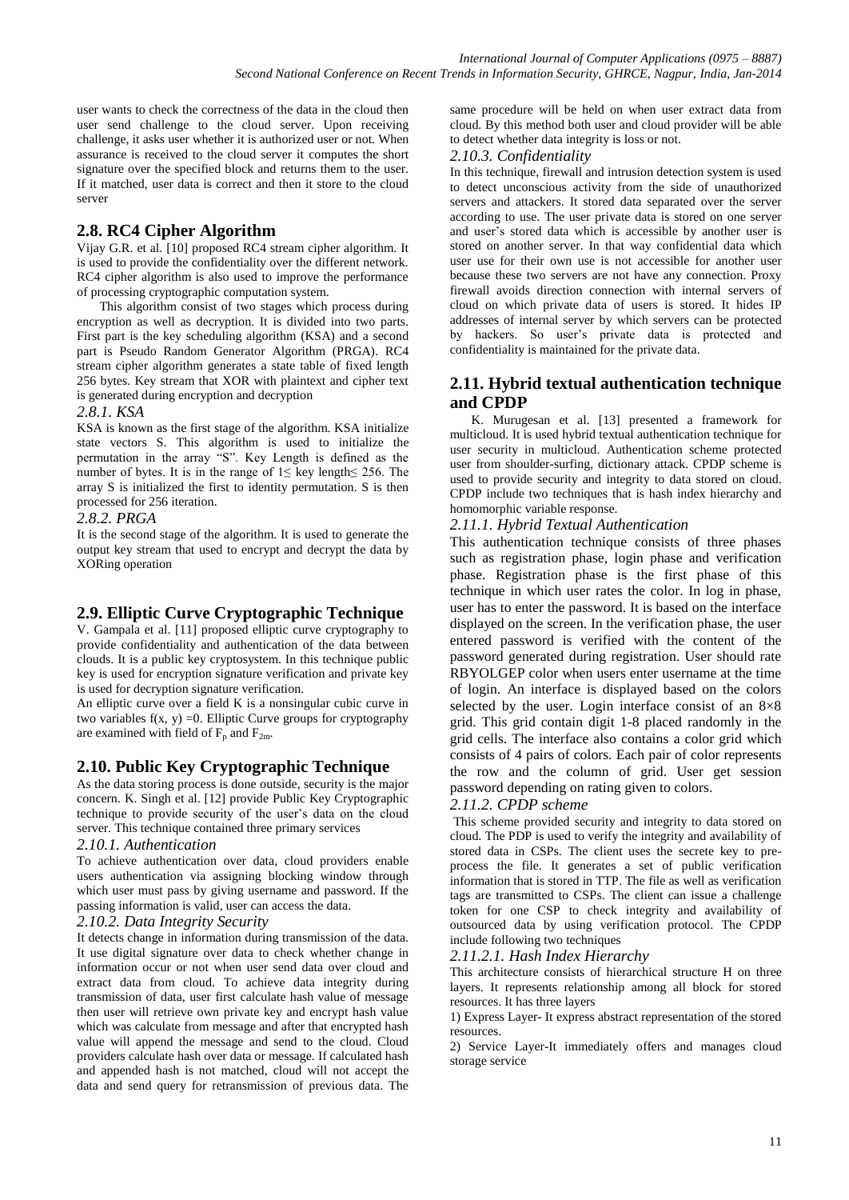user wants to check the correctness of the data in the cloud then user send challenge to the cloud server. Upon receiving challenge, it asks user whether it is authorized user or not. When assurance is received to the cloud server it computes the short signature over the specified block and returns them to the user. If it matched, user data is correct and then it store to the cloud server

## **2.8. RC4 Cipher Algorithm**

Vijay G.R. et al. [10] proposed RC4 stream cipher algorithm. It is used to provide the confidentiality over the different network. RC4 cipher algorithm is also used to improve the performance of processing cryptographic computation system.

 This algorithm consist of two stages which process during encryption as well as decryption. It is divided into two parts. First part is the key scheduling algorithm (KSA) and a second part is Pseudo Random Generator Algorithm (PRGA). RC4 stream cipher algorithm generates a state table of fixed length 256 bytes. Key stream that XOR with plaintext and cipher text is generated during encryption and decryption

#### *2.8.1. KSA*

KSA is known as the first stage of the algorithm. KSA initialize state vectors S. This algorithm is used to initialize the permutation in the array "S". Key Length is defined as the number of bytes. It is in the range of  $1 \leq k$ ey length $\leq 256$ . The array S is initialized the first to identity permutation. S is then processed for 256 iteration.

#### *2.8.2. PRGA*

It is the second stage of the algorithm. It is used to generate the output key stream that used to encrypt and decrypt the data by XORing operation

# **2.9. Elliptic Curve Cryptographic Technique**

V. Gampala et al. [11] proposed elliptic curve cryptography to provide confidentiality and authentication of the data between clouds. It is a public key cryptosystem. In this technique public key is used for encryption signature verification and private key is used for decryption signature verification.

An elliptic curve over a field K is a nonsingular cubic curve in two variables  $f(x, y) = 0$ . Elliptic Curve groups for cryptography are examined with field of  $F_p$  and  $F_{2m}$ .

### **2.10. Public Key Cryptographic Technique**

As the data storing process is done outside, security is the major concern. K. Singh et al. [12] provide Public Key Cryptographic technique to provide security of the user's data on the cloud server. This technique contained three primary services

#### *2.10.1. Authentication*

To achieve authentication over data, cloud providers enable users authentication via assigning blocking window through which user must pass by giving username and password. If the passing information is valid, user can access the data.

### *2.10.2. Data Integrity Security*

It detects change in information during transmission of the data. It use digital signature over data to check whether change in information occur or not when user send data over cloud and extract data from cloud. To achieve data integrity during transmission of data, user first calculate hash value of message then user will retrieve own private key and encrypt hash value which was calculate from message and after that encrypted hash value will append the message and send to the cloud. Cloud providers calculate hash over data or message. If calculated hash and appended hash is not matched, cloud will not accept the data and send query for retransmission of previous data. The same procedure will be held on when user extract data from cloud. By this method both user and cloud provider will be able to detect whether data integrity is loss or not.

#### *2.10.3. Confidentiality*

In this technique, firewall and intrusion detection system is used to detect unconscious activity from the side of unauthorized servers and attackers. It stored data separated over the server according to use. The user private data is stored on one server and user's stored data which is accessible by another user is stored on another server. In that way confidential data which user use for their own use is not accessible for another user because these two servers are not have any connection. Proxy firewall avoids direction connection with internal servers of cloud on which private data of users is stored. It hides IP addresses of internal server by which servers can be protected by hackers. So user's private data is protected and confidentiality is maintained for the private data.

### **2.11. Hybrid textual authentication technique and CPDP**

K. Murugesan et al. [13] presented a framework for multicloud. It is used hybrid textual authentication technique for user security in multicloud. Authentication scheme protected user from shoulder-surfing, dictionary attack. CPDP scheme is used to provide security and integrity to data stored on cloud. CPDP include two techniques that is hash index hierarchy and homomorphic variable response.

### *2.11.1. Hybrid Textual Authentication*

This authentication technique consists of three phases such as registration phase, login phase and verification phase. Registration phase is the first phase of this technique in which user rates the color. In log in phase, user has to enter the password. It is based on the interface displayed on the screen. In the verification phase, the user entered password is verified with the content of the password generated during registration. User should rate RBYOLGEP color when users enter username at the time of login. An interface is displayed based on the colors selected by the user. Login interface consist of an 8×8 grid. This grid contain digit 1-8 placed randomly in the grid cells. The interface also contains a color grid which consists of 4 pairs of colors. Each pair of color represents the row and the column of grid. User get session password depending on rating given to colors.

### *2.11.2. CPDP scheme*

This scheme provided security and integrity to data stored on cloud. The PDP is used to verify the integrity and availability of stored data in CSPs. The client uses the secrete key to preprocess the file. It generates a set of public verification information that is stored in TTP. The file as well as verification tags are transmitted to CSPs. The client can issue a challenge token for one CSP to check integrity and availability of outsourced data by using verification protocol. The CPDP include following two techniques

#### *2.11.2.1. Hash Index Hierarchy*

This architecture consists of hierarchical structure H on three layers. It represents relationship among all block for stored resources. It has three layers

1) Express Layer- It express abstract representation of the stored resources.

2) Service Layer-It immediately offers and manages cloud storage service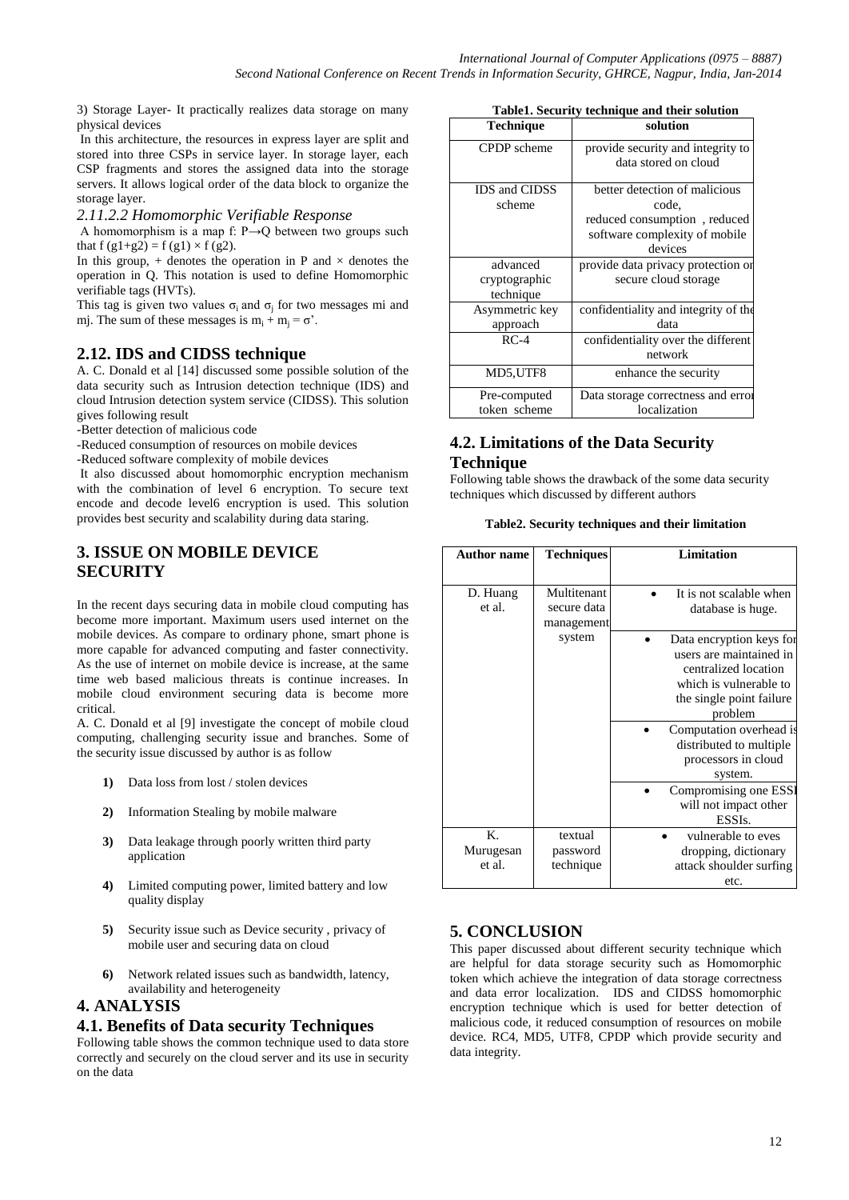3) Storage Layer- It practically realizes data storage on many physical devices

In this architecture, the resources in express layer are split and stored into three CSPs in service layer. In storage layer, each CSP fragments and stores the assigned data into the storage servers. It allows logical order of the data block to organize the storage layer.

#### *2.11.2.2 Homomorphic Verifiable Response*

A homomorphism is a map f:  $P\rightarrow O$  between two groups such that  $f (g1+g2) = f (g1) \times f (g2)$ .

In this group, + denotes the operation in P and  $\times$  denotes the operation in Q. This notation is used to define Homomorphic verifiable tags (HVTs).

This tag is given two values  $\sigma_i$  and  $\sigma_j$  for two messages mi and mj. The sum of these messages is  $m_i + m_j = \sigma'$ .

### **2.12. IDS and CIDSS technique**

A. C. Donald et al [14] discussed some possible solution of the data security such as Intrusion detection technique (IDS) and cloud Intrusion detection system service (CIDSS). This solution gives following result

-Better detection of malicious code

- -Reduced consumption of resources on mobile devices
- -Reduced software complexity of mobile devices

It also discussed about homomorphic encryption mechanism with the combination of level 6 encryption. To secure text encode and decode level6 encryption is used. This solution provides best security and scalability during data staring.

## **3. ISSUE ON MOBILE DEVICE SECURITY**

In the recent days securing data in mobile cloud computing has become more important. Maximum users used internet on the mobile devices. As compare to ordinary phone, smart phone is more capable for advanced computing and faster connectivity. As the use of internet on mobile device is increase, at the same time web based malicious threats is continue increases. In mobile cloud environment securing data is become more critical.

A. C. Donald et al [9] investigate the concept of mobile cloud computing, challenging security issue and branches. Some of the security issue discussed by author is as follow

- **1)** Data loss from lost / stolen devices
- **2)** Information Stealing by mobile malware
- **3)** Data leakage through poorly written third party application
- **4)** Limited computing power, limited battery and low quality display
- **5)** Security issue such as Device security , privacy of mobile user and securing data on cloud
- **6)** Network related issues such as bandwidth, latency, availability and heterogeneity

### **4. ANALYSIS**

### **4.1. Benefits of Data security Techniques**

Following table shows the common technique used to data store correctly and securely on the cloud server and its use in security on the data

| Table1. Security technique and their solution |  |  |  |
|-----------------------------------------------|--|--|--|
|-----------------------------------------------|--|--|--|

| <b>Technique</b>     | solution                                                  |
|----------------------|-----------------------------------------------------------|
| CPDP scheme          | provide security and integrity to<br>data stored on cloud |
|                      |                                                           |
| <b>IDS</b> and CIDSS | better detection of malicious                             |
| scheme               | code,                                                     |
|                      | reduced consumption, reduced                              |
|                      | software complexity of mobile                             |
|                      | devices                                                   |
| advanced             | provide data privacy protection or                        |
| cryptographic        | secure cloud storage                                      |
| technique            |                                                           |
| Asymmetric key       | confidentiality and integrity of the                      |
| approach             | data                                                      |
| $RC-4$               | confidentiality over the different                        |
|                      | network                                                   |
| MD5,UTF8             | enhance the security                                      |
| Pre-computed         | Data storage correctness and error                        |
| token scheme         | localization                                              |

# **4.2. Limitations of the Data Security Technique**

Following table shows the drawback of the some data security techniques which discussed by different authors

|  |  | Table2. Security techniques and their limitation |  |  |  |
|--|--|--------------------------------------------------|--|--|--|
|--|--|--------------------------------------------------|--|--|--|

| <b>Author name</b>        | <b>Techniques</b>                        | <b>Limitation</b>                                                                                                                            |
|---------------------------|------------------------------------------|----------------------------------------------------------------------------------------------------------------------------------------------|
| D. Huang<br>et al.        | Multitenant<br>secure data<br>management | It is not scalable when<br>database is huge.                                                                                                 |
|                           | system                                   | Data encryption keys for<br>users are maintained in<br>centralized location<br>which is vulnerable to<br>the single point failure<br>problem |
|                           |                                          | Computation overhead is<br>distributed to multiple<br>processors in cloud<br>system.                                                         |
|                           |                                          | Compromising one ESS!<br>will not impact other<br>ESSI <sub>s</sub> .                                                                        |
| Κ.<br>Murugesan<br>et al. | textual<br>password<br>technique         | vulnerable to eves<br>dropping, dictionary<br>attack shoulder surfing<br>etc.                                                                |

### **5. CONCLUSION**

This paper discussed about different security technique which are helpful for data storage security such as Homomorphic token which achieve the integration of data storage correctness and data error localization. IDS and CIDSS homomorphic encryption technique which is used for better detection of malicious code, it reduced consumption of resources on mobile device. RC4, MD5, UTF8, CPDP which provide security and data integrity.